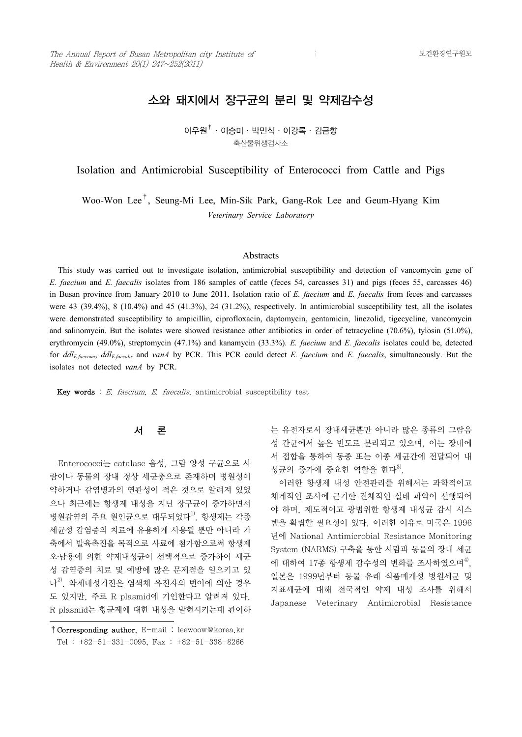# 소와 돼지에서 장구균의 분리 및 약제감수성

 $0$ 우원 $^{\dagger}$ ·이승미·박민식·이강록·김금향 축산물위생검사소

Isolation and Antimicrobial Susceptibility of Enterococci from Cattle and Pigs

Woo-Won Lee† , Seung-Mi Lee, Min-Sik Park, Gang-Rok Lee and Geum-Hyang Kim *Veterinary Service Laboratory*

### **Abstracts**

 This study was carried out to investigate isolation, antimicrobial susceptibility and detection of vancomycin gene of *E. faecium* and *E. faecalis* isolates from 186 samples of cattle (feces 54, carcasses 31) and pigs (feces 55, carcasses 46) in Busan province from January 2010 to June 2011. Isolation ratio of *E. faecium* and *E. faecalis* from feces and carcasses were 43 (39.4%), 8 (10.4%) and 45 (41.3%), 24 (31.2%), respectively. In antimicrobial susceptibility test, all the isolates were demonstrated susceptibility to ampicillin, ciprofloxacin, daptomycin, gentamicin, linezolid, tigecycline, vancomycin and salinomycin. But the isolates were showed resistance other antibiotics in order of tetracycline (70.6%), tylosin (51.0%), erythromycin (49.0%), streptomycin (47.1%) and kanamycin (33.3%). *E. faecium* and *E. faecalis* isolates could be, detected for *ddlE.faecium*, *ddlE.faecalis* and *vanA* by PCR. This PCR could detect *E. faecium* and *E. faecalis*, simultaneously. But the isolates not detected *vanA* by PCR.

Key words :  $E$ , faecium,  $E$ , faecalis, antimicrobial susceptibility test

### 서 론

 Enterococci는 catalase 음성, 그람 양성 구균으로 사 람이나 동물의 장내 정상 세균총으로 존재하며 병원성이 약하거나 감염병과의 연관성이 적은 것으로 알려져 있었 으나 최근에는 항생제 내성을 지닌 장구균이 증가하면서 병원감염의 주요 원인균으로 대두되었다<sup>1)</sup>. 항생제는 각종 세균성 감염증의 치료에 유용하게 사용될 뿐만 아니라 가 축에서 발육촉진을 목적으로 사료에 첨가함으로써 항생제 오․남용에 의한 약제내성균이 선택적으로 증가하여 세균 성 감염증의 치료 및 예방에 많은 문제점을 일으키고 있 다<sup>2)</sup>. 약제내성기전은 염색체 유전자의 변이에 의한 경우 <u>with the start</u> 도 있지만, 주로 R plasmid에 기인한다고 알려져 있다.<br>R plasmid는 항균제에 대한 내성을 발현시키는데 관여하

는 유전자로서 장내세균뿐만 아니라 많은 종류의 그람음 성 간균에서 높은 빈도로 분리되고 있으며, 이는 장내에 서 접합을 통하여 동종 또는 이종 세균간에 전달되어 내 성균의 증가에 중요한 역할을 한다 $^{3}$ .

 이러한 항생제 내성 안전관리를 위해서는 과학적이고 체계적인 조사에 근거한 전체적인 실태 파악이 선행되어 야 하며, 제도적이고 광범위한 항생제 내성균 감시 시스 템을 확립할 필요성이 있다. 이러한 이유로 미국은 1996 년에 National Antimicrobial Resistance Monitoring System (NARMS) 구축을 통한 사람과 동물의 장내 세균 에 대하여 17종 항생제 감수성의 변화를 조사하였으며<sup>4)</sup>, 지표세균에 대해 전국적인 약제 내성 조사를 위해서 Japanese Veterinary Antimicrobial Resistance

<sup>†</sup>Corresponding author. E-mail : leewoow@korea.kr Tel : +82-51-331-0095, Fax : +82-51-338-8266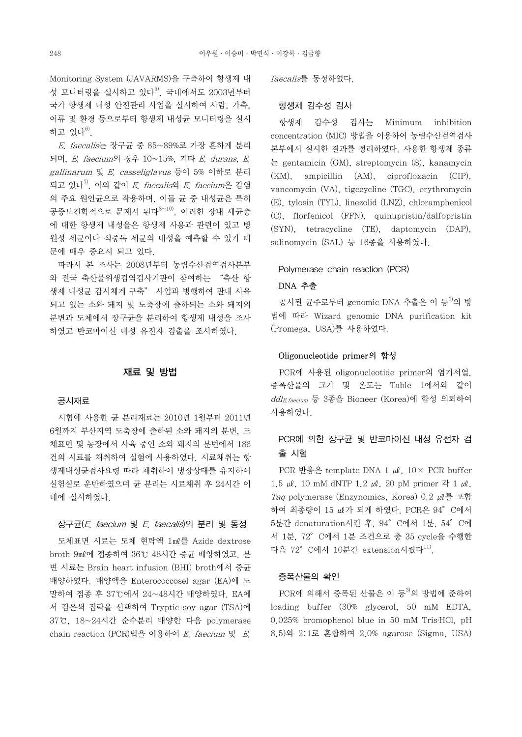Monitoring System (JAVARMS)을 구축하여 항생제 내 성 모니터링을 실시하고 있다<sup>5)</sup>. 국내에서도 2003년부터 국가 항생제 내성 안전관리 사업을 실시하여 사람, 가축, 어류 및 환경 등으로부터 항생제 내성균 모니터링을 실시 하고 있다<sup>6)</sup>.

 E. faecalis는 장구균 중 85~89%로 가장 흔하게 분리 되며, E. faecium의 경우 10~15%, 기타 E. durans, E. gallinarum 및 E. casseliglavus 등이 5% 이하로 분리 되고 있다 $^{7)}$ . 이와 같이 *E. faecalis*와 *E. faecium*은 감염 의 주요 원인균으로 작용하며, 이들 균 중 내성균은 특히 공중보건학적으로 문제시 된다8~10). 이러한 장내 세균총 에 대한 항생제 내성율은 항생제 사용과 관련이 있고 병 원성 세균이나 식중독 세균의 내성을 예측할 수 있기 때 문에 매우 중요시 되고 있다.

 따라서 본 조사는 2008년부터 농림수산검역검사본부 와 전국 축산물위생검역검사기관이 참여하는 "축산 항 생제 내성균 감시체계 구축" 사업과 병행하여 관내 사육 되고 있는 소와 돼지 및 도축장에 출하되는 소와 돼지의 분변과 도체에서 장구균을 분리하여 항생제 내성을 조사 하였고 반코마이신 내성 유전자 검출을 조사하였다.

## 재료 및 방법

#### 공시재료

 시험에 사용한 균 분리재료는 2010년 1월부터 2011년 6월까지 부산지역 도축장에 출하된 소와 돼지의 분변, 도 체표면 및 농장에서 사육 중인 소와 돼지의 분변에서 186 건의 시료를 채취하여 실험에 사용하였다. 시료채취는 항 생제내성균검사요령 따라 채취하여 냉장상태를 유지하여 실험실로 운반하였으며 균 분리는 시료채취 후 24시간 이 내에 실시하였다.

## 장구균(E. faecium 및 E. faecalis)의 분리 및 동정

 도체표면 시료는 도체 현탁액 1㎖를 Azide dextrose broth 9㎖에 접종하여 36℃ 48시간 증균 배양하였고, 분 변 시료는 Brain heart infusion (BHI) broth에서 증균 배양하였다. 배양액을 Enterococcosel agar (EA)에 도 말하여 접종 후 37℃에서 24~48시간 배양하였다. EA에 서 검은색 집락을 선택하여 Tryptic soy agar (TSA)에 37℃, 18~24시간 순수분리 배양한 다음 polymerase chain reaction (PCR)법을 이용하여 E. faecium 및 E.

faecalis를 동정하였다.

### 항생제 감수성 검사

 항생제 감수성 검사는 Minimum inhibition concentration (MIC) 방법을 이용하여 농림수산검역검사 본부에서 실시한 결과를 정리하였다. 사용한 항생제 종류 는 gentamicin (GM), streptomycin (S), kanamycin (KM), ampicillin (AM), ciprofloxacin (CIP), vancomycin (VA), tigecycline (TGC), erythromycin (E), tylosin (TYL), linezolid (LNZ), chloramphenicol (C), florfenicol (FFN), quinupristin/dalfopristin (SYN), tetracycline (TE), daptomycin (DAP), salinomycin (SAL) 등 16종을 사용하였다.

### Polymerase chain reaction (PCR)

### DNA 추출

공시된 균주로부터 genomic DNA 추출은 이 등<sup>3)</sup>의 방 법에 따라 Wizard genomic DNA purification kit (Promega, USA)를 사용하였다.

### Oligonucleotide primer의 합성

 PCR에 사용된 oligonucleotide primer의 염기서열, 증폭산물의 크기 및 온도는 Table 1에서와 같이 ddlE.faecium 등 3종을 Bioneer (Korea)에 합성 의뢰하여 사용하였다.

## PCR에 의한 장구균 및 반코마이신 내성 유전자 검 출 시험

PCR 반응은 template DNA 1  $\mu$ l,  $10 \times$  PCR buffer 1.5 μl, 10 mM dNTP 1.2 μl, 20 pM primer  $4$  1 μl, Taq polymerase (Enzynomics, Korea) 0.2 ㎕를 포함 하여 최종량이 15  $\mu$ 가 되게 하였다. PCR은 94° C에서 5분간 denaturation시킨 후, 94°C에서 1분, 54°C에 서 1분, 72°C에서 1분 조건으로 총 35 cycle을 수행한 다음 72° C에서 10분간 extension시켰다 $^{11)}$ .

### 증폭산물의 확인

PCR에 의해서 증폭된 산물은 이 등<sup>3)</sup>의 방법에 준하여 loading buffer (30% glycerol, 50 mM EDTA, 0.025% bromophenol blue in 50 mM Tris $HCl$ , pH 8.5)와 2:1로 혼합하여 2.0% agarose (Sigma, USA)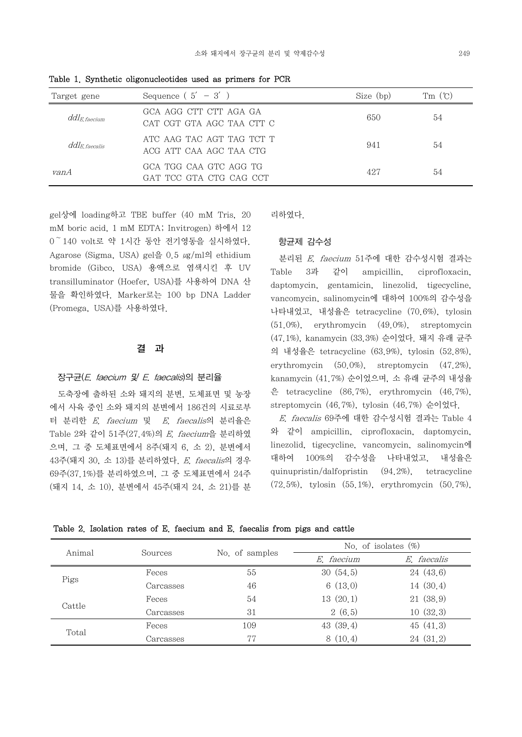| Target gene                        | Sequence $(5' - 3')$                                 | Size (bp) | $Tm(\mathcal{C})$ |
|------------------------------------|------------------------------------------------------|-----------|-------------------|
| $d d l_{E,\,faceium}$              | GCA AGG CTT CTT AGA GA<br>CAT CGT GTA AGC TAA CTT C  | 650       | 54                |
| $d d {\it l}_{E,\,{\it faccalis}}$ | ATC AAG TAC AGT TAG TCT T<br>ACG ATT CAA AGC TAA CTG | 941       | 54                |
| vanA                               | GCA TGG CAA GTC AGG TG<br>GAT TCC GTA CTG CAG CCT    | 427       | 54                |

Table 1. Synthetic oligonucleotides used as primers for PCR

gel상에 loading하고 TBE buffer (40 mM Tris, 20 mM boric acid, 1 mM EDTA; Invitrogen) 하에서 12  $0^{\degree}$  140 volt로 약 1시간 동안 전기영동을 실시하였다.<br>Agarose (Sigma, USA) gel을 0.5  $\mu$ g/ml의 ethidium bromide (Gibco, USA) 용액으로 염색시킨 후 UV transilluminator (Hoefer, USA)를 사용하여 DNA 산 물을 확인하였다. Marker로는 100 bp DNA Ladder (Promega, USA)를 사용하였다.

### 결 과

### 장구균(E. faecium 및 E. faecalis)의 분리율

 도축장에 출하된 소와 돼지의 분변, 도체표면 및 농장 에서 사육 중인 소와 돼지의 분변에서 186건의 시료로부 터 분리한 E. faecium 및 E. faecalis의 분리율은 Table 2와 같이 51주(27.4%)의 E. faecium을 분리하였 으며, 그 중 도체표면에서 8주(돼지 6, 소 2), 분변에서 43주(돼지 30, 소 13)를 분리하였다. E. faecalis의 경우 69주(37.1%)를 분리하였으며, 그 중 도체표면에서 24주 (돼지 14, 소 10), 분변에서 45주(돼지 24, 소 21)를 분 리하였다.

### 항균제 감수성

 분리된 E. faecium 51주에 대한 감수성시험 결과는 Table 3과 같이 ampicillin, ciprofloxacin, daptomycin, gentamicin, linezolid, tigecycline, vancomycin, salinomycin에 대하여 100%의 감수성을 나타내었고, 내성율은 tetracycline (70.6%), tylosin (51.0%), erythromycin (49.0%), streptomycin (47.1%), kanamycin (33.3%) 순이었다. 돼지 유래 균주 의 내성율은 tetracycline (63.9%), tylosin (52.8%), erythromycin (50.0%), streptomycin (47.2%), kanamycin (41.7%) 순이었으며, 소 유래 균주의 내성율 은 tetracycline (86.7%), erythromycin (46.7%), streptomycin (46.7%), tylosin (46.7%) 순이었다.

 E. faecalis 69주에 대한 감수성시험 결과는 Table 4 와 같이 ampicillin, ciprofloxacin, daptomycin, linezolid, tigecycline, vancomycin, salinomycin에 대하여 100%의 감수성을 나타내었고, 내성율은 quinupristin/dalfopristin (94.2%), tetracycline (72.5%), tylosin (55.1%), erythromycin (50.7%),

| Table 2. Isolation rates of E. faecium and E. faecalis from pigs and cattle |  |  |  |  |  |  |  |  |  |  |  |
|-----------------------------------------------------------------------------|--|--|--|--|--|--|--|--|--|--|--|
|-----------------------------------------------------------------------------|--|--|--|--|--|--|--|--|--|--|--|

| Animal | Sources   |                | No. of isolates $(\%)$ |             |  |
|--------|-----------|----------------|------------------------|-------------|--|
|        |           | No. of samples | E. faecium             | E, faecalis |  |
| Pigs   | Feces     | 55             | 30(54,5)               | 24(43,6)    |  |
|        | Carcasses | 46             | 6(13,0)                | 14 (30.4)   |  |
| Cattle | Feces     | 54             | 13(20,1)               | 21(38,9)    |  |
|        | Carcasses | 31             | 2(6,5)                 | 10(32,3)    |  |
| Total  | Feces     | 109            | 43(39,4)               | 45(41,3)    |  |
|        | Carcasses | 77             | 8(10,4)                | 24(31,2)    |  |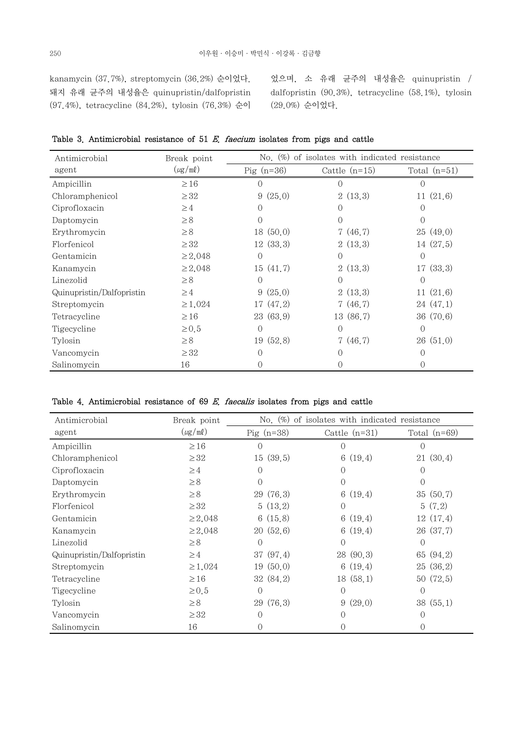kanamycin (37.7%), streptomycin (36.2%) 순이었다. 돼지 유래 균주의 내성율은 quinupristin/dalfopristin (97.4%), tetracycline (84.2%), tylosin (76.3%) 순이

었으며, 소 유래 균주의 내성율은 quinupristin / dalfopristin (90.3%), tetracycline (58.1%), tylosin (29.0%) 순이었다.

| Table 3. Antimicrobial resistance of 51 $E$ , faecium isolates from pigs and cattle |  |
|-------------------------------------------------------------------------------------|--|
|-------------------------------------------------------------------------------------|--|

| Antimicrobial             | Break point  | of isolates with indicated resistance<br>No. $(\%)$ |                  |                  |  |  |
|---------------------------|--------------|-----------------------------------------------------|------------------|------------------|--|--|
| agent                     | $(\mu g/ml)$ | $\text{Pig}(n=36)$                                  | Cattle $(n=15)$  | Total $(n=51)$   |  |  |
| Ampicillin                | $\geq 16$    | $\left( \right)$                                    |                  |                  |  |  |
| Chloramphenicol           | $\geq$ 32    | 9(25,0)                                             | 2(13,3)          | 11(21,6)         |  |  |
| Ciprofloxacin             | $\geq$ 4     | $\Omega$                                            | $\left( \right)$ | $\left( \right)$ |  |  |
| Daptomycin                | $\geq 8$     | $\Omega$                                            | 0                |                  |  |  |
| Erythromycin              | $\geq 8$     | 18(50,0)                                            | 7(46,7)          | 25(49,0)         |  |  |
| Florfenicol               | $\geq$ 32    | 12(33,3)                                            | 2(13,3)          | 14(27,5)         |  |  |
| Gentamicin                | $\geq 2,048$ | $\theta$                                            | 0                | $\Omega$         |  |  |
| Kanamycin                 | $\geq 2,048$ | 15(41,7)                                            | 2(13,3)          | 17(33,3)         |  |  |
| Linezolid                 | $\geq 8$     | $\Omega$                                            | 0                | $\Omega$         |  |  |
| Quinupristin/Dalfopristin | $\geq 4$     | 9(25,0)                                             | 2(13,3)          | 11(21,6)         |  |  |
| Streptomycin              | $\geq 1,024$ | 17(47,2)                                            | 7(46,7)          | 24(47,1)         |  |  |
| Tetracycline              | $\geq 16$    | 23(63,9)                                            | 13 (86.7)        | 36 (70.6)        |  |  |
| Tigecycline               | $\geq 0.5$   | $\overline{0}$                                      | $\Omega$         | $\left( \right)$ |  |  |
| Tylosin                   | $\geq 8$     | 19(52,8)                                            | 7(46,7)          | 26(51,0)         |  |  |
| Vancomycin                | $\geq$ 32    | $\Omega$                                            | $\Omega$         |                  |  |  |
| Salinomycin               | 16           | 0                                                   | 0                | $^{()}$          |  |  |

### Table 4. Antimicrobial resistance of  $69$  E. faecalis isolates from pigs and cattle

| Antimicrobial             | Break point                  | No. $(\%)$ of isolates with indicated resistance |                  |                |  |
|---------------------------|------------------------------|--------------------------------------------------|------------------|----------------|--|
| agent                     | $(\mu\text{g}/\text{m}\ell)$ | $\text{Pig}(n=38)$                               | Cattle $(n=31)$  | Total $(n=69)$ |  |
| Ampicillin                | $\geq 16$                    | $\bigcirc$                                       | $\bigcap$        |                |  |
| Chloramphenicol           | $\geq$ 32                    | 15(39,5)                                         | 6(19,4)          | (30, 4)<br>21  |  |
| Ciprofloxacin             | $\geq 4$                     | $\Omega$                                         | $\left( \right)$ |                |  |
| Daptomycin                | $\geq 8$                     | $\Omega$                                         | 0                |                |  |
| Erythromycin              | $\geq 8$                     | 29(76,3)                                         | 6(19,4)          | 35(50,7)       |  |
| Florfenicol               | $\geq$ 32                    | 5(13,2)                                          | $\Omega$         | 5(7,2)         |  |
| Gentamicin                | $\geq 2,048$                 | 6(15,8)                                          | 6(19,4)          | 12(17,4)       |  |
| Kanamycin                 | $\geq 2,048$                 | 20(52,6)                                         | 6(19,4)          | 26(37,7)       |  |
| Linezolid                 | $\geq 8$                     | $\theta$                                         | $\Omega$         | $\Omega$       |  |
| Quinupristin/Dalfopristin | $\geq 4$                     | 37(97,4)                                         | 28 (90.3)        | (94,2)<br>65   |  |
| Streptomycin              | $\geq 1,024$                 | 19(50,0)                                         | 6(19,4)          | (36, 2)<br>25  |  |
| Tetracycline              | $\geq 16$                    | 32(84,2)                                         | 18 (58.1)        | (72, 5)<br>50  |  |
| Tigecycline               | $\geq 0.5$                   | $\theta$                                         | $\Omega$         | $\Omega$       |  |
| Tylosin                   | $\geq 8$                     | 29 (76.3)                                        | (29,0)<br>9      | (55,1)<br>38   |  |
| Vancomycin                | $\geq$ 32                    | $\Omega$                                         | $\left( \right)$ |                |  |
| Salinomycin               | 16                           | 0                                                |                  |                |  |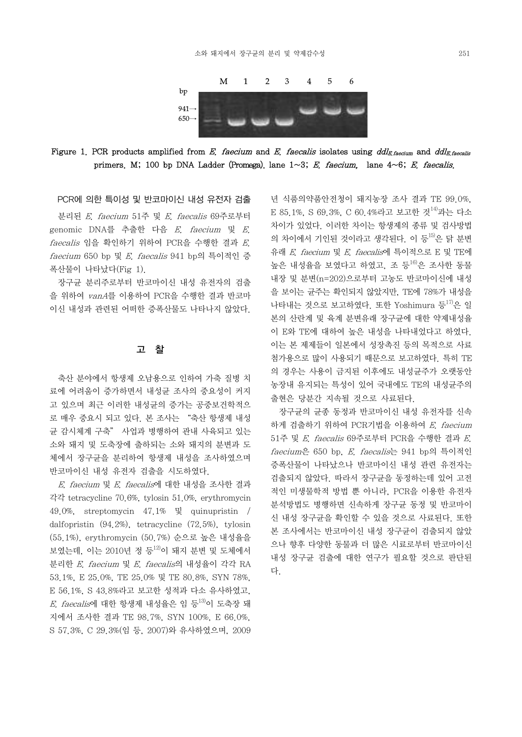

Figure 1. PCR products amplified from E. faecium and E. faecalis isolates using ddl<sub>E.faecium</sub> and ddl<sub>E.faecalis</sub> primers. M; 100 bp DNA Ladder (Promega). lane 1~3; E. faecium, lane 4~6; E. faecalis.

PCR에 의한 특이성 및 반코마이신 내성 유전자 검출

 분리된 E. faecium 51주 및 E. faecalis 69주로부터 genomic DNA를 추출한 다음 E. faecium 및 E. faecalis 임을 확인하기 위하여 PCR을 수행한 결과 E. faecium 650 bp 및 E. faecalis 941 bp의 특이적인 증 폭산물이 나타났다(Fig 1).

 장구균 분리주로부터 반코마이신 내성 유전자의 검출 을 위하여 vanA를 이용하여 PCR을 수행한 결과 반코마 이신 내성과 관련된 어떠한 증폭산물도 나타나지 않았다.

### 고 찰

 축산 분야에서 항생제 오남용으로 인하여 가축 질병 치 료에 어려움이 증가하면서 내성균 조사의 중요성이 커지 고 있으며 최근 이러한 내성균의 증가는 공중보건학적으 로 매우 중요시 되고 있다. 본 조사는 "축산 항생제 내성 균 감시체계 구축" 사업과 병행하여 관내 사육되고 있는 소와 돼지 및 도축장에 출하되는 소와 돼지의 분변과 도 체에서 장구균을 분리하여 항생제 내성을 조사하였으며 반코마이신 내성 유전자 검출을 시도하였다.

 E. faecium 및 E. faecalis에 대한 내성을 조사한 결과 각각 tetracycline 70.6%, tylosin 51.0%, erythromycin 49.0%, streptomycin 47.1% 및 quinupristin / dalfopristin (94.2%), tetracycline (72.5%), tylosin (55.1%), erythromycin (50.7%) 순으로 높은 내성율을 보였는데, 이는 2010년 정 등<sup>12)</sup>이 돼지 분변 및 도체에서 \_\_\_\_ 분리한 E. faecium 및 E. faecalis의 내성율이 각각 RA 53.1%, E 25.0%, TE 25.0% 및 TE 80.8%, SYN 78%, E 56.1%, S 43.8%라고 보고한 성적과 다소 유사하였고,  $E$ . *faecalis*에 대한 항생제 내성율은 임 등<sup>13)</sup>이 도축장 돼 지에서 조사한 결과 TE 98.7%, SYN 100%, E 66.0%, S 57.3%, C 29.3%(임 등, 2007)와 유사하였으며, 2009

년 식품의약품안전청이 돼지농장 조사 결과 TE 99.0%, E 85.1%, S 69.3%, C 60.4%라고 보고한 것<sup>14)</sup>과는 다소 차이가 있었다. 이러한 차이는 항생제의 종류 및 검사방법 의 차이에서 기인된 것이라고 생각된다. 이 등<sup>15)</sup>은 닭 분변 유래 E. faecium 및 E. faecalis에 특이적으로 E 및 TE에 높은 내성율을 보였다고 하였고, 조 등<sup>16)</sup>은 조사한 동물 내장 및 분변(n=202)으로부터 고농도 반코마이신에 내성 을 보이는 균주는 확인되지 않았지만, TE에 78%가 내성을 나타내는 것으로 보고하였다. 또한 Yoshimura 등 17)은 일 본의 산란계 및 육계 분변유래 장구균에 대한 약제내성율 이 E와 TE에 대하여 높은 내성을 나타내었다고 하였다.<br>이는 본 제제들이 일본에서 성장촉진 등의 목적으로 사료 첨가용으로 많이 사용되기 때문으로 보고하였다. 특히 TE 의 경우는 사용이 금지된 이후에도 내성균주가 오랫동안 농장내 유지되는 특성이 있어 국내에도 TE의 내성균주의 출현은 당분간 지속될 것으로 사료된다.

 장구균의 균종 동정과 반코마이신 내성 유전자를 신속 하게 검출하기 위하여 PCR기법을 이용하여  $E$ . faecium 51주 및 E. faecalis 69주로부터 PCR을 수행한 결과 E. faecium은 650 bp, E. faecalis는 941 bp의 특이적인 증폭산물이 나타났으나 반코마이신 내성 관련 유전자는 검출되지 않았다. 따라서 장구균을 동정하는데 있어 고전 적인 미생물학적 방법 뿐 아니라, PCR을 이용한 유전자 분석방법도 병행하면 신속하게 장구균 동정 및 반코마이 신 내성 장구균을 확인할 수 있을 것으로 사료된다. 또한 본 조사에서는 반코마이신 내성 장구균이 검출되지 않았 으나 향후 다양한 동물과 더 많은 시료로부터 반코마이신 내성 장구균 검출에 대한 연구가 필요할 것으로 판단된 다.